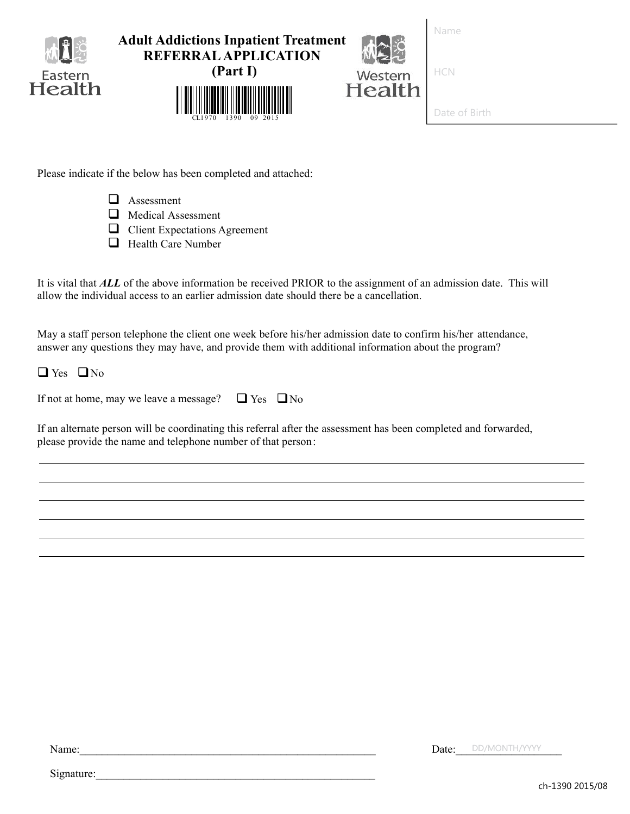| Io<br>Eastern<br>Health | <b>Adult Addictions Inpatient Treatment</b><br><b>REFERRAL APPLICATION</b><br>(Part I)<br>CL1970<br>1390<br>09 2015 | Western<br>Health | Name<br><b>HCN</b><br>Date of Birth |
|-------------------------|---------------------------------------------------------------------------------------------------------------------|-------------------|-------------------------------------|
|                         |                                                                                                                     |                   |                                     |

Please indicate if the below has been completed and attached:

- $\Box$  Assessment
- Medical Assessment
- **Q** Client Expectations Agreement
- **Health Care Number**

It is vital that *ALL* of the above information be received PRIOR to the assignment of an admission date. This will allow the individual access to an earlier admission date should there be a cancellation.

May a staff person telephone the client one week before his/her admission date to confirm his/her attendance, answer any questions they may have, and provide them with additional information about the program?

 $\Box$  Yes  $\Box$  No

|  | If not at home, may we leave a message? | $\Box$ Yes $\Box$ No |  |
|--|-----------------------------------------|----------------------|--|
|--|-----------------------------------------|----------------------|--|

If an alternate person will be coordinating this referral after the assessment has been completed and forwarded, please provide the name and telephone number of that person:

Name:

Date: DD/MONTH/YYYY

Signature:

ch-1390 2015/08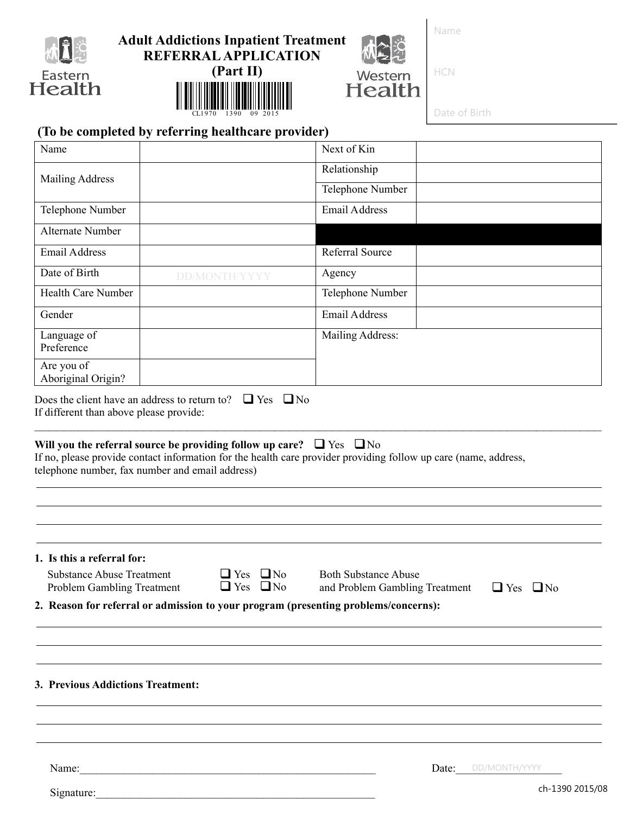

# **Adult Addictions Inpatient Treatment REFERRAL APPLICATION**



Name

HCN

Western

Date of Birth

# **(To be completed by referring healthcare provider)**

║

| Name                                                                                         |                                                                                                                                                                                                   | Next of Kin                                                   |                      |
|----------------------------------------------------------------------------------------------|---------------------------------------------------------------------------------------------------------------------------------------------------------------------------------------------------|---------------------------------------------------------------|----------------------|
| <b>Mailing Address</b>                                                                       |                                                                                                                                                                                                   | Relationship                                                  |                      |
|                                                                                              |                                                                                                                                                                                                   | Telephone Number                                              |                      |
| Telephone Number                                                                             |                                                                                                                                                                                                   | <b>Email Address</b>                                          |                      |
| Alternate Number                                                                             |                                                                                                                                                                                                   |                                                               |                      |
| Email Address                                                                                |                                                                                                                                                                                                   | Referral Source                                               |                      |
| Date of Birth                                                                                | DD/MONTH/YYYY                                                                                                                                                                                     | Agency                                                        |                      |
| <b>Health Care Number</b>                                                                    |                                                                                                                                                                                                   | Telephone Number                                              |                      |
| Gender                                                                                       |                                                                                                                                                                                                   | <b>Email Address</b>                                          |                      |
| Language of<br>Preference                                                                    |                                                                                                                                                                                                   | Mailing Address:                                              |                      |
| Are you of<br>Aboriginal Origin?                                                             |                                                                                                                                                                                                   |                                                               |                      |
| telephone number, fax number and email address)                                              | Will you the referral source be providing follow up care? $\Box$ Yes $\Box$ No<br>If no, please provide contact information for the health care provider providing follow up care (name, address, |                                                               |                      |
| 1. Is this a referral for:<br><b>Substance Abuse Treatment</b><br>Problem Gambling Treatment | $\Box$ Yes $\Box$ No<br>$\Box$ Yes $\Box$ No<br>2. Reason for referral or admission to your program (presenting problems/concerns):                                                               | <b>Both Substance Abuse</b><br>and Problem Gambling Treatment | $\Box$ Yes $\Box$ No |
|                                                                                              |                                                                                                                                                                                                   |                                                               |                      |
|                                                                                              |                                                                                                                                                                                                   |                                                               |                      |
|                                                                                              |                                                                                                                                                                                                   |                                                               |                      |

### **3. Previous Addictions Treatment:**

Name:

Signature:

ch-1390 2015/08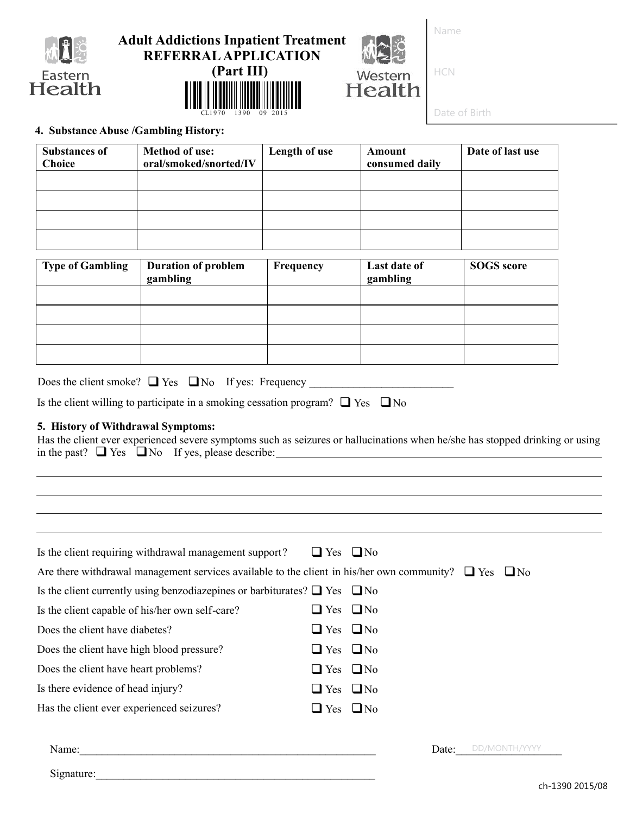

# **Adult Addictions Inpatient Treatment REFERRAL APPLICATION**

**(Part III)**

CL1970 1390 09 2015



Name

HCN

Date of Birth

### **4. Substance Abuse /Gambling History:**

| <b>Substances of</b><br><b>Choice</b> | <b>Method of use:</b><br>oral/smoked/snorted/IV | Length of use | Amount<br>consumed daily | Date of last use |
|---------------------------------------|-------------------------------------------------|---------------|--------------------------|------------------|
|                                       |                                                 |               |                          |                  |
|                                       |                                                 |               |                          |                  |
|                                       |                                                 |               |                          |                  |
|                                       |                                                 |               |                          |                  |
|                                       |                                                 |               |                          |                  |

| <b>Type of Gambling</b> | <b>Duration of problem</b><br>gambling | Frequency | Last date of<br>gambling | <b>SOGS</b> score |
|-------------------------|----------------------------------------|-----------|--------------------------|-------------------|
|                         |                                        |           |                          |                   |
|                         |                                        |           |                          |                   |
|                         |                                        |           |                          |                   |
|                         |                                        |           |                          |                   |

| Does the client smoke? $\Box$ Yes $\Box$ No If yes: Frequency |  |  |  |
|---------------------------------------------------------------|--|--|--|
|---------------------------------------------------------------|--|--|--|

Is the client willing to participate in a smoking cessation program?  $\Box$  Yes  $\Box$  No

#### **5. History of Withdrawal Symptoms:**

Has the client ever experienced severe symptoms such as seizures or hallucinations when he/she has stopped drinking or using in the past?  $\Box$  Yes  $\Box$  No If yes, please describe:

| Is the client requiring withdrawal management support?                                                          | $\Box$ Yes $\Box$ No |                        |
|-----------------------------------------------------------------------------------------------------------------|----------------------|------------------------|
| Are there withdrawal management services available to the client in his/her own community? $\Box$ Yes $\Box$ No |                      |                        |
| Is the client currently using benzodiazepines or barbiturates? $\Box$ Yes $\Box$ No                             |                      |                        |
| Is the client capable of his/her own self-care?                                                                 | $\Box$ Yes $\Box$ No |                        |
| Does the client have diabetes?                                                                                  | $\Box$ Yes $\Box$ No |                        |
| Does the client have high blood pressure?                                                                       | $\Box$ Yes $\Box$ No |                        |
| Does the client have heart problems?                                                                            | $\Box$ Yes $\Box$ No |                        |
| Is there evidence of head injury?                                                                               | $\Box$ Yes $\Box$ No |                        |
| Has the client ever experienced seizures?                                                                       | $\Box$ Yes $\Box$ No |                        |
|                                                                                                                 |                      |                        |
|                                                                                                                 |                      | DD/MONTH/YYYY<br>Date: |
| Signature:                                                                                                      |                      |                        |
|                                                                                                                 |                      | $-6$ 1200.2015 $\mu$   |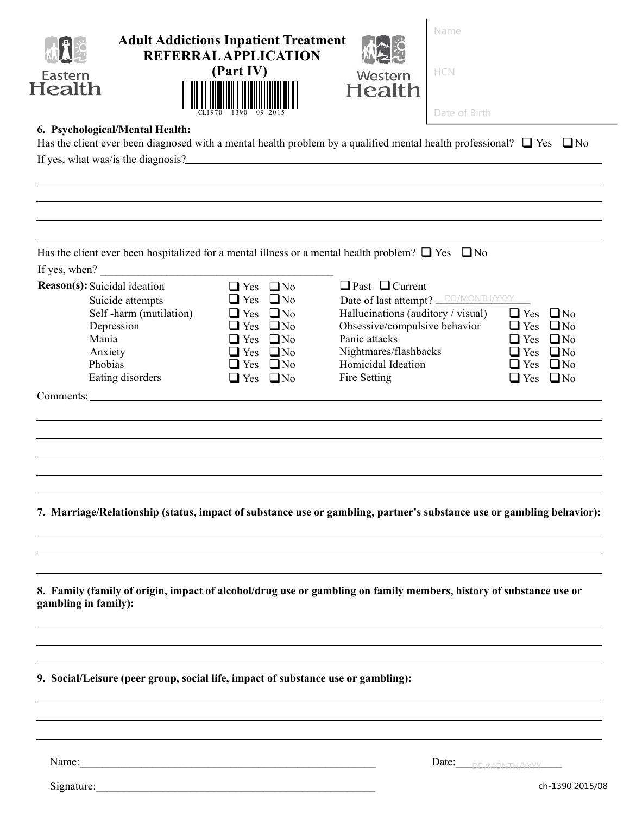| Eastern<br>Health                                                                   | 6. Psychological/Mental Health:                                              | <b>Adult Addictions Inpatient Treatment</b><br><b>REFERRAL APPLICATION</b><br>(Part IV)<br>Has the client ever been diagnosed with a mental health problem by a qualified mental health professional? $\Box$ Yes $\Box$ No<br>If yes, what was/is the diagnosis? | Western<br>Health                                                                                                                                                                                                               | Name<br>HCN<br>Date of Birth |                                                                                                                                                             |
|-------------------------------------------------------------------------------------|------------------------------------------------------------------------------|------------------------------------------------------------------------------------------------------------------------------------------------------------------------------------------------------------------------------------------------------------------|---------------------------------------------------------------------------------------------------------------------------------------------------------------------------------------------------------------------------------|------------------------------|-------------------------------------------------------------------------------------------------------------------------------------------------------------|
|                                                                                     |                                                                              |                                                                                                                                                                                                                                                                  |                                                                                                                                                                                                                                 |                              |                                                                                                                                                             |
|                                                                                     |                                                                              | Has the client ever been hospitalized for a mental illness or a mental health problem? $\Box$ Yes $\Box$ No                                                                                                                                                      |                                                                                                                                                                                                                                 |                              |                                                                                                                                                             |
| If yes, when?<br><b>Reason(s):</b> Suicidal ideation<br>Mania<br>Anxiety<br>Phobias | Suicide attempts<br>Self-harm (mutilation)<br>Depression<br>Eating disorders | $\Box$ Yes $\Box$ No<br>$\Box$ No<br>$\Box$ Yes<br>$\Box$ No<br>$\Box$ Yes<br>$\Box$ Yes $\Box$ No<br>$\Box$ No<br>$\Box$ Yes<br>$\Box$ Yes<br>$\Box$ No<br>$\Box$ Yes<br>$\Box$ No<br>$\Box$ Yes $\Box$ No                                                      | $\Box$ Past $\Box$ Current<br>Date of last attempt? <b>DD/MONTH/YYYY</b><br>Hallucinations (auditory / visual)<br>Obsessive/compulsive behavior<br>Panic attacks<br>Nightmares/flashbacks<br>Homicidal Ideation<br>Fire Setting |                              | $\Box$ Yes<br>$\Box$ No<br>$\Box$ Yes $\Box$ No<br>$\Box$ Yes<br>$\Box$ No<br>$\Box$ Yes<br>$\Box$ No<br>$\Box$ Yes<br>$\Box$ No<br>$\Box$ Yes<br>$\Box$ No |
|                                                                                     |                                                                              | Comments:                                                                                                                                                                                                                                                        |                                                                                                                                                                                                                                 |                              |                                                                                                                                                             |
|                                                                                     |                                                                              |                                                                                                                                                                                                                                                                  |                                                                                                                                                                                                                                 |                              |                                                                                                                                                             |
|                                                                                     |                                                                              | 7. Marriage/Relationship (status, impact of substance use or gambling, partner's substance use or gambling behavior):                                                                                                                                            |                                                                                                                                                                                                                                 |                              |                                                                                                                                                             |
| gambling in family):                                                                |                                                                              | 8. Family (family of origin, impact of alcohol/drug use or gambling on family members, history of substance use or                                                                                                                                               |                                                                                                                                                                                                                                 |                              |                                                                                                                                                             |
|                                                                                     |                                                                              | 9. Social/Leisure (peer group, social life, impact of substance use or gambling):                                                                                                                                                                                |                                                                                                                                                                                                                                 |                              |                                                                                                                                                             |
|                                                                                     |                                                                              |                                                                                                                                                                                                                                                                  |                                                                                                                                                                                                                                 |                              |                                                                                                                                                             |
| Name:                                                                               |                                                                              |                                                                                                                                                                                                                                                                  |                                                                                                                                                                                                                                 | Date: DRAMONTHAYYY           |                                                                                                                                                             |

Signature:\_\_\_\_\_\_\_\_\_\_\_\_\_\_\_\_\_\_\_\_\_\_\_\_\_\_\_\_\_\_\_\_\_\_\_\_\_\_\_\_\_\_\_\_\_\_\_\_\_\_

ch-1390 2015/08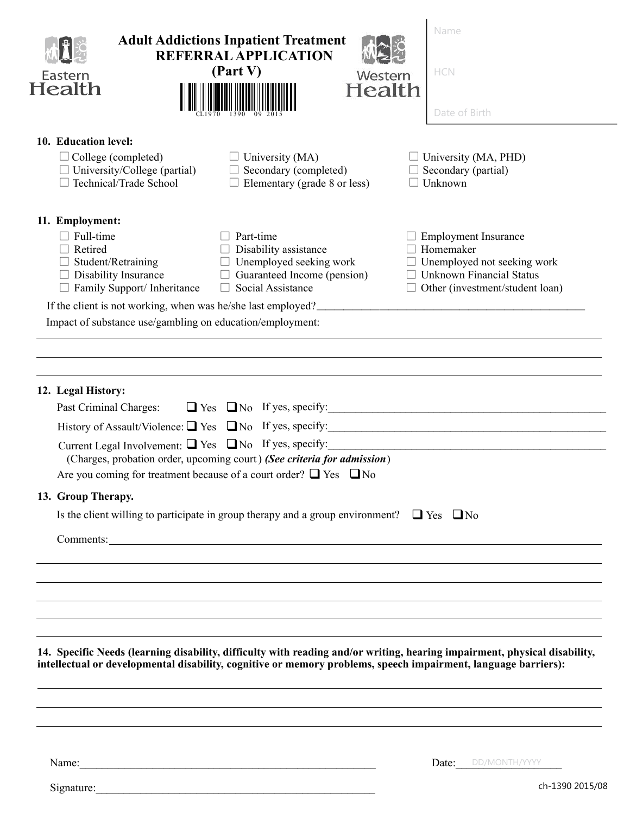| Eastern<br>Health                                                                                                                                       | <b>Adult Addictions Inpatient Treatment</b><br><b>REFERRAL APPLICATION</b><br>(Part V)                                                                                                                                                                                            | Western<br>Health | Name<br>HCN<br>Date of Birth                                                       |                                                                                                                           |
|---------------------------------------------------------------------------------------------------------------------------------------------------------|-----------------------------------------------------------------------------------------------------------------------------------------------------------------------------------------------------------------------------------------------------------------------------------|-------------------|------------------------------------------------------------------------------------|---------------------------------------------------------------------------------------------------------------------------|
| 10. Education level:<br>$\Box$ College (completed)<br>$\Box$ University/College (partial)<br>Technical/Trade School                                     | $\Box$ University (MA)<br>$\Box$ Secondary (completed)<br>$\Box$ Elementary (grade 8 or less)                                                                                                                                                                                     |                   | $\Box$ University (MA, PHD)<br>$\Box$ Secondary (partial)<br>$\Box$ Unknown        |                                                                                                                           |
| 11. Employment:<br>$\Box$ Full-time<br>$\Box$ Retired<br>$\Box$ Student/Retraining<br>$\Box$ Disability Insurance<br>$\Box$ Family Support/ Inheritance | $\Box$ Part-time<br>$\Box$ Disability assistance<br>$\Box$ Unemployed seeking work<br>$\Box$ Guaranteed Income (pension)<br>$\Box$ Social Assistance<br>If the client is not working, when was he/she last employed?<br>Impact of substance use/gambling on education/employment: |                   | $\Box$ Employment Insurance<br>$\Box$ Homemaker<br>$\Box$ Unknown Financial Status | $\Box$ Unemployed not seeking work<br>$\Box$ Other (investment/student loan)                                              |
| 12. Legal History:<br>Past Criminal Charges:<br>13. Group Therapy.                                                                                      | (Charges, probation order, upcoming court) (See criteria for admission)<br>Are you coming for treatment because of a court order? $\Box$ Yes $\Box$ No<br>Is the client willing to participate in group therapy and a group environment? $\Box$ Yes $\Box$ No                     |                   |                                                                                    | $\Box$ Yes $\Box$ No If yes, specify:                                                                                     |
|                                                                                                                                                         | intellectual or developmental disability, cognitive or memory problems, speech impairment, language barriers):                                                                                                                                                                    |                   |                                                                                    | 14. Specific Needs (learning disability, difficulty with reading and/or writing, hearing impairment, physical disability, |
|                                                                                                                                                         | Name: Name and the set of the set of the set of the set of the set of the set of the set of the set of the set of the set of the set of the set of the set of the set of the set of the set of the set of the set of the set o                                                    |                   |                                                                                    | Date: DD/MONTH/YYYY<br>ch-1390 2015/08                                                                                    |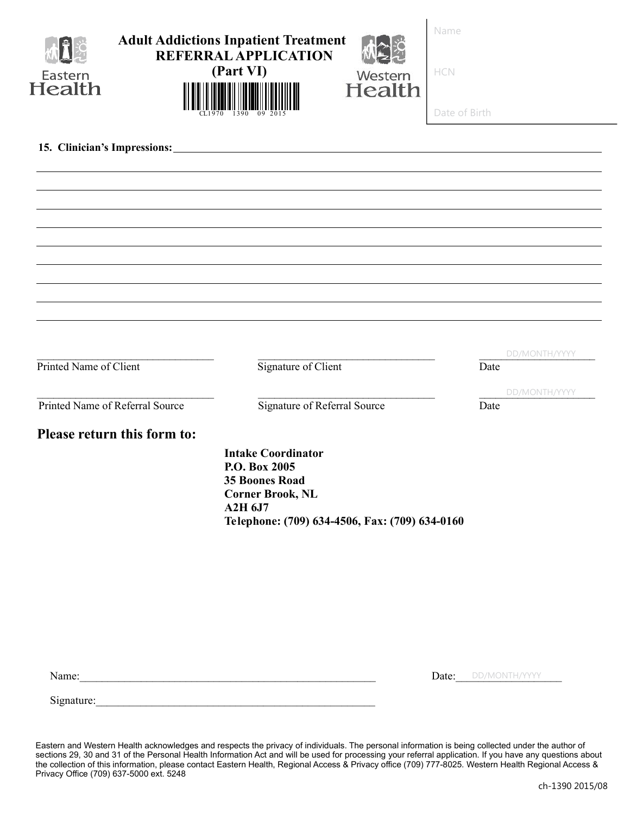| Eastern<br>Health                                         | <b>Adult Addictions Inpatient Treatment</b><br><b>REFERRAL APPLICATION</b><br>(Part VI)                                                                     | Western<br>Health | Name<br>HCN   |               |
|-----------------------------------------------------------|-------------------------------------------------------------------------------------------------------------------------------------------------------------|-------------------|---------------|---------------|
|                                                           |                                                                                                                                                             |                   | Date of Birth |               |
| 15. Clinician's Impressions: 15. Clinician's Impressions: |                                                                                                                                                             |                   |               |               |
|                                                           |                                                                                                                                                             |                   |               |               |
|                                                           |                                                                                                                                                             |                   |               |               |
|                                                           |                                                                                                                                                             |                   |               |               |
|                                                           |                                                                                                                                                             |                   |               |               |
|                                                           |                                                                                                                                                             |                   |               |               |
|                                                           |                                                                                                                                                             |                   |               |               |
|                                                           |                                                                                                                                                             |                   |               | DD/MONTH/YYYY |
| Printed Name of Client                                    | Signature of Client                                                                                                                                         |                   | Date          |               |
| Printed Name of Referral Source                           | Signature of Referral Source                                                                                                                                |                   | Date          | DD/MONTH/YYYY |
| Please return this form to:                               |                                                                                                                                                             |                   |               |               |
|                                                           | <b>Intake Coordinator</b><br>P.O. Box 2005<br><b>35 Boones Road</b><br><b>Corner Brook, NL</b><br>A2H 6J7<br>Telephone: (709) 634-4506, Fax: (709) 634-0160 |                   |               |               |
|                                                           |                                                                                                                                                             |                   |               |               |
|                                                           |                                                                                                                                                             |                   |               |               |
|                                                           |                                                                                                                                                             |                   |               |               |
|                                                           |                                                                                                                                                             |                   |               |               |

Date: DD/MONTH/YYYY

Signature:

Eastern and Western Health acknowledges and respects the privacy of individuals. The personal information is being collected under the author of sections 29, 30 and 31 of the Personal Health Information Act and will be used for processing your referral application. If you have any questions about the collection of this information, please contact Eastern Health, Regional Access & Privacy office (709) 777-8025. Western Health Regional Access & Privacy Office (709) 637-5000 ext. 5248

Name:\_\_\_\_\_\_\_\_\_\_\_\_\_\_\_\_\_\_\_\_\_\_\_\_\_\_\_\_\_\_\_\_\_\_\_\_\_\_\_\_\_\_\_\_\_\_\_\_\_\_\_\_\_ Date:\_\_\_\_\_\_\_\_\_\_\_\_\_\_\_\_\_\_\_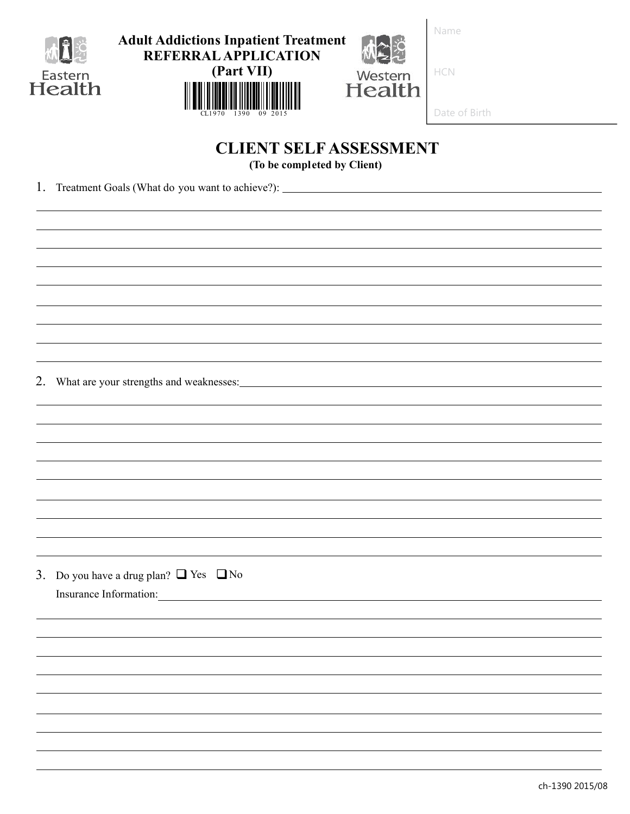

| <b>Adult Addictions Inpatient Treatment</b><br><b>REFERRAL APPLICATION</b> |                          |  |
|----------------------------------------------------------------------------|--------------------------|--|
| (Part VII)                                                                 | Western<br><b>Health</b> |  |
|                                                                            |                          |  |

#### of Birth  $\mathsf{I}$

# **CLIENT SELF ASSESSMENT**

**(To be completed by Client)**

1. Treatment Goals (What do you want to achieve?):

2. What are your strengths and weaknesses:

3. Do you have a drug plan?  $\Box$  Yes  $\Box$  No Insurance Information: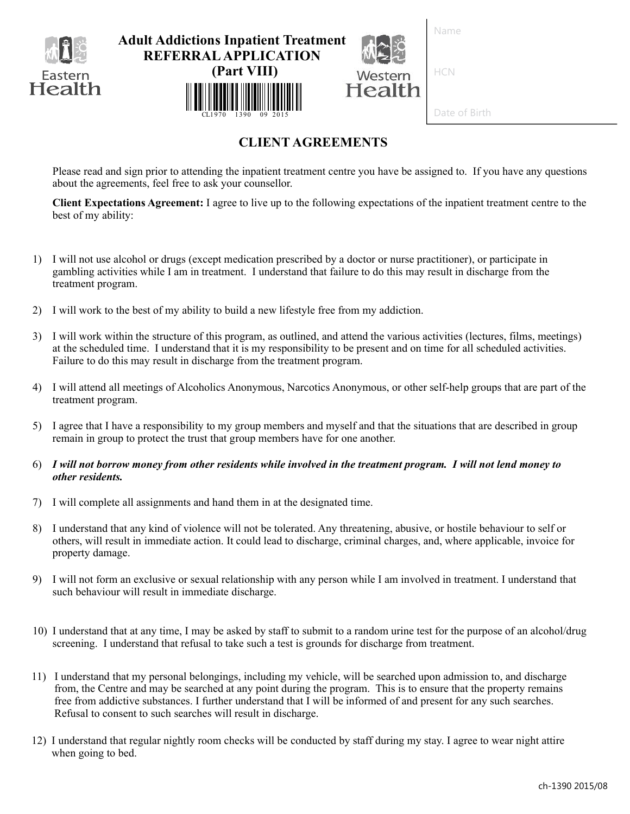

# **CLIENT AGREEMENTS**

Please read and sign prior to attending the inpatient treatment centre you have be assigned to. If you have any questions about the agreements, feel free to ask your counsellor.

**Client Expectations Agreement:** I agree to live up to the following expectations of the inpatient treatment centre to the best of my ability:

- 1) I will not use alcohol or drugs (except medication prescribed by a doctor or nurse practitioner), or participate in gambling activities while I am in treatment. I understand that failure to do this may result in discharge from the treatment program.
- 2) I will work to the best of my ability to build a new lifestyle free from my addiction.
- 3) I will work within the structure of this program, as outlined, and attend the various activities (lectures, films, meetings) at the scheduled time. I understand that it is my responsibility to be present and on time for all scheduled activities. Failure to do this may result in discharge from the treatment program.
- 4) I will attend all meetings of Alcoholics Anonymous, Narcotics Anonymous, or other self-help groups that are part of the treatment program.
- 5) I agree that I have a responsibility to my group members and myself and that the situations that are described in group remain in group to protect the trust that group members have for one another.
- 6) *I will not borrow money from other residents while involved in the treatment program. I will not lend money to other residents.*
- 7) I will complete all assignments and hand them in at the designated time.
- 8) I understand that any kind of violence will not be tolerated. Any threatening, abusive, or hostile behaviour to self or others, will result in immediate action. It could lead to discharge, criminal charges, and, where applicable, invoice for property damage.
- 9) I will not form an exclusive or sexual relationship with any person while I am involved in treatment. I understand that such behaviour will result in immediate discharge.
- 10) I understand that at any time, I may be asked by staff to submit to a random urine test for the purpose of an alcohol/drug screening. I understand that refusal to take such a test is grounds for discharge from treatment.
- 11) I understand that my personal belongings, including my vehicle, will be searched upon admission to, and discharge from, the Centre and may be searched at any point during the program. This is to ensure that the property remains free from addictive substances. I further understand that I will be informed of and present for any such searches. Refusal to consent to such searches will result in discharge.
- 12) I understand that regular nightly room checks will be conducted by staff during my stay. I agree to wear night attire when going to bed.